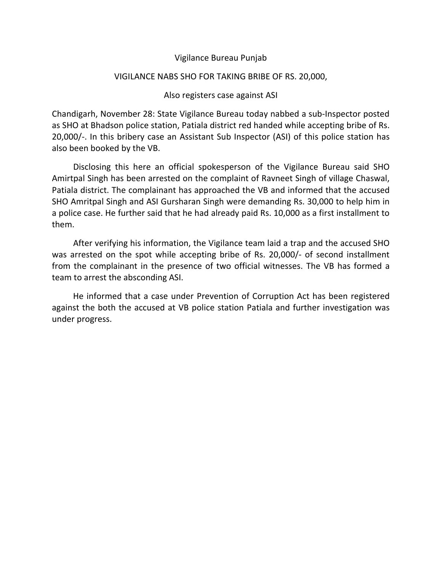### Vigilance Bureau Punjab

#### VIGILANCE NABS SHO FOR TAKING BRIBE OF RS. 20,000,

### Also registers case against ASI

Chandigarh, November 28: State Vigilance Bureau today nabbed a sub-Inspector posted as SHO at Bhadson police station, Patiala district red handed while accepting bribe of Rs. 20,000/-. In this bribery case an Assistant Sub Inspector (ASI) of this police station has also been booked by the VB.

 Disclosing this here an official spokesperson of the Vigilance Bureau said SHO Amirtpal Singh has been arrested on the complaint of Ravneet Singh of village Chaswal, Patiala district. The complainant has approached the VB and informed that the accused SHO Amritpal Singh and ASI Gursharan Singh were demanding Rs. 30,000 to help him in a police case. He further said that he had already paid Rs. 10,000 as a first installment to them.

 After verifying his information, the Vigilance team laid a trap and the accused SHO was arrested on the spot while accepting bribe of Rs. 20,000/- of second installment from the complainant in the presence of two official witnesses. The VB has formed a team to arrest the absconding ASI.

 He informed that a case under Prevention of Corruption Act has been registered against the both the accused at VB police station Patiala and further investigation was under progress.